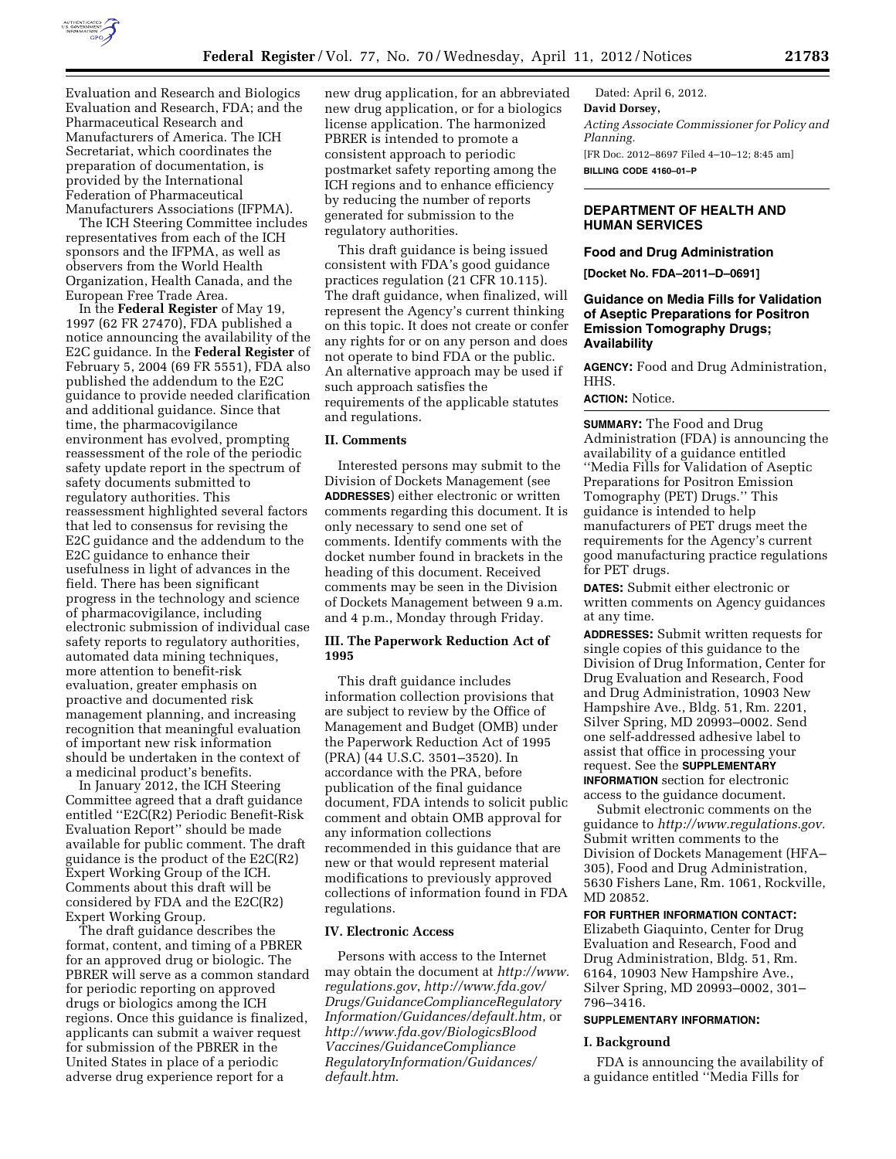

Evaluation and Research and Biologics Evaluation and Research, FDA; and the Pharmaceutical Research and Manufacturers of America. The ICH Secretariat, which coordinates the preparation of documentation, is provided by the International Federation of Pharmaceutical Manufacturers Associations (IFPMA).

The ICH Steering Committee includes representatives from each of the ICH sponsors and the IFPMA, as well as observers from the World Health Organization, Health Canada, and the European Free Trade Area.

In the **Federal Register** of May 19, 1997 (62 FR 27470), FDA published a notice announcing the availability of the E2C guidance. In the **Federal Register** of February 5, 2004 (69 FR 5551), FDA also published the addendum to the E2C guidance to provide needed clarification and additional guidance. Since that time, the pharmacovigilance environment has evolved, prompting reassessment of the role of the periodic safety update report in the spectrum of safety documents submitted to regulatory authorities. This reassessment highlighted several factors that led to consensus for revising the E2C guidance and the addendum to the E2C guidance to enhance their usefulness in light of advances in the field. There has been significant progress in the technology and science of pharmacovigilance, including electronic submission of individual case safety reports to regulatory authorities, automated data mining techniques, more attention to benefit-risk evaluation, greater emphasis on proactive and documented risk management planning, and increasing recognition that meaningful evaluation of important new risk information should be undertaken in the context of a medicinal product's benefits.

In January 2012, the ICH Steering Committee agreed that a draft guidance entitled ''E2C(R2) Periodic Benefit-Risk Evaluation Report'' should be made available for public comment. The draft guidance is the product of the E2C(R2) Expert Working Group of the ICH. Comments about this draft will be considered by FDA and the E2C(R2) Expert Working Group.

The draft guidance describes the format, content, and timing of a PBRER for an approved drug or biologic. The PBRER will serve as a common standard for periodic reporting on approved drugs or biologics among the ICH regions. Once this guidance is finalized, applicants can submit a waiver request for submission of the PBRER in the United States in place of a periodic adverse drug experience report for a

new drug application, for an abbreviated new drug application, or for a biologics license application. The harmonized PBRER is intended to promote a consistent approach to periodic postmarket safety reporting among the ICH regions and to enhance efficiency by reducing the number of reports generated for submission to the regulatory authorities.

This draft guidance is being issued consistent with FDA's good guidance practices regulation (21 CFR 10.115). The draft guidance, when finalized, will represent the Agency's current thinking on this topic. It does not create or confer any rights for or on any person and does not operate to bind FDA or the public. An alternative approach may be used if such approach satisfies the requirements of the applicable statutes and regulations.

## **II. Comments**

Interested persons may submit to the Division of Dockets Management (see **ADDRESSES**) either electronic or written comments regarding this document. It is only necessary to send one set of comments. Identify comments with the docket number found in brackets in the heading of this document. Received comments may be seen in the Division of Dockets Management between 9 a.m. and 4 p.m., Monday through Friday.

# **III. The Paperwork Reduction Act of 1995**

This draft guidance includes information collection provisions that are subject to review by the Office of Management and Budget (OMB) under the Paperwork Reduction Act of 1995 (PRA) (44 U.S.C. 3501–3520). In accordance with the PRA, before publication of the final guidance document, FDA intends to solicit public comment and obtain OMB approval for any information collections recommended in this guidance that are new or that would represent material modifications to previously approved collections of information found in FDA regulations.

# **IV. Electronic Access**

Persons with access to the Internet may obtain the document at *[http://www.](http://www.regulations.gov) [regulations.gov](http://www.regulations.gov)*, *http://www.fda.gov/ Drugs/GuidanceComplianceRegulatory Information/Guidances/default.htm*, or *[http://www.fda.gov/BiologicsBlood](http://www.fda.gov/BiologicsBloodVaccines/GuidanceComplianceRegulatoryInformation/Guidances/default.htm) [Vaccines/GuidanceCompliance](http://www.fda.gov/BiologicsBloodVaccines/GuidanceComplianceRegulatoryInformation/Guidances/default.htm) [RegulatoryInformation/Guidances/](http://www.fda.gov/BiologicsBloodVaccines/GuidanceComplianceRegulatoryInformation/Guidances/default.htm) [default.htm](http://www.fda.gov/BiologicsBloodVaccines/GuidanceComplianceRegulatoryInformation/Guidances/default.htm)*.

Dated: April 6, 2012. **David Dorsey,**  *Acting Associate Commissioner for Policy and Planning.*  [FR Doc. 2012–8697 Filed 4–10–12; 8:45 am] **BILLING CODE 4160–01–P** 

# **DEPARTMENT OF HEALTH AND HUMAN SERVICES**

#### **Food and Drug Administration**

**[Docket No. FDA–2011–D–0691]** 

# **Guidance on Media Fills for Validation of Aseptic Preparations for Positron Emission Tomography Drugs; Availability**

**AGENCY:** Food and Drug Administration, HHS.

#### **ACTION:** Notice.

**SUMMARY:** The Food and Drug Administration (FDA) is announcing the availability of a guidance entitled ''Media Fills for Validation of Aseptic Preparations for Positron Emission Tomography (PET) Drugs.'' This guidance is intended to help manufacturers of PET drugs meet the requirements for the Agency's current good manufacturing practice regulations for PET drugs.

**DATES:** Submit either electronic or written comments on Agency guidances at any time.

**ADDRESSES:** Submit written requests for single copies of this guidance to the Division of Drug Information, Center for Drug Evaluation and Research, Food and Drug Administration, 10903 New Hampshire Ave., Bldg. 51, Rm. 2201, Silver Spring, MD 20993–0002. Send one self-addressed adhesive label to assist that office in processing your request. See the **SUPPLEMENTARY INFORMATION** section for electronic access to the guidance document.

Submit electronic comments on the guidance to *[http://www.regulations.gov.](http://www.regulations.gov)*  Submit written comments to the Division of Dockets Management (HFA– 305), Food and Drug Administration, 5630 Fishers Lane, Rm. 1061, Rockville, MD 20852.

## **FOR FURTHER INFORMATION CONTACT:**

Elizabeth Giaquinto, Center for Drug Evaluation and Research, Food and Drug Administration, Bldg. 51, Rm. 6164, 10903 New Hampshire Ave., Silver Spring, MD 20993–0002, 301– 796–3416.

## **SUPPLEMENTARY INFORMATION:**

#### **I. Background**

FDA is announcing the availability of a guidance entitled ''Media Fills for